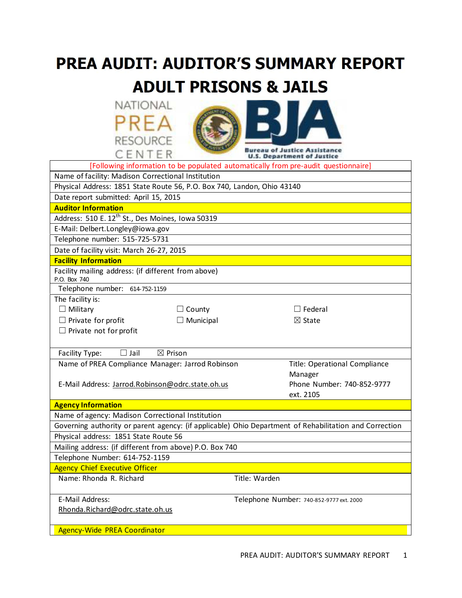# PREA AUDIT: AUDITOR'S SUMMARY REPORT **ADULT PRISONS & JAILS**





|                                                                                                        |                    |               | [Following information to be populated automatically from pre-audit questionnaire] |
|--------------------------------------------------------------------------------------------------------|--------------------|---------------|------------------------------------------------------------------------------------|
| Name of facility: Madison Correctional Institution                                                     |                    |               |                                                                                    |
| Physical Address: 1851 State Route 56, P.O. Box 740, Landon, Ohio 43140                                |                    |               |                                                                                    |
| Date report submitted: April 15, 2015                                                                  |                    |               |                                                                                    |
| <b>Auditor Information</b>                                                                             |                    |               |                                                                                    |
| Address: 510 E. 12 <sup>th</sup> St., Des Moines, Iowa 50319                                           |                    |               |                                                                                    |
| E-Mail: Delbert.Longley@iowa.gov                                                                       |                    |               |                                                                                    |
| Telephone number: 515-725-5731                                                                         |                    |               |                                                                                    |
| Date of facility visit: March 26-27, 2015                                                              |                    |               |                                                                                    |
| <b>Facility Information</b>                                                                            |                    |               |                                                                                    |
| Facility mailing address: (if different from above)<br>P.O. Box 740                                    |                    |               |                                                                                    |
| Telephone number: 614-752-1159                                                                         |                    |               |                                                                                    |
| The facility is:                                                                                       |                    |               |                                                                                    |
| $\Box$ Military                                                                                        | $\Box$ County      |               | $\Box$ Federal                                                                     |
| $\Box$ Private for profit                                                                              | $\Box$ Municipal   |               | $\boxtimes$ State                                                                  |
| $\Box$ Private not for profit                                                                          |                    |               |                                                                                    |
|                                                                                                        |                    |               |                                                                                    |
| $\Box$ Jail<br>Facility Type:                                                                          | $\boxtimes$ Prison |               |                                                                                    |
| Name of PREA Compliance Manager: Jarrod Robinson                                                       |                    |               | Title: Operational Compliance                                                      |
|                                                                                                        |                    |               | Manager                                                                            |
| E-Mail Address: Jarrod.Robinson@odrc.state.oh.us                                                       |                    |               | Phone Number: 740-852-9777                                                         |
|                                                                                                        |                    |               | ext. 2105                                                                          |
| <b>Agency Information</b>                                                                              |                    |               |                                                                                    |
| Name of agency: Madison Correctional Institution                                                       |                    |               |                                                                                    |
| Governing authority or parent agency: (if applicable) Ohio Department of Rehabilitation and Correction |                    |               |                                                                                    |
| Physical address: 1851 State Route 56                                                                  |                    |               |                                                                                    |
| Mailing address: (if different from above) P.O. Box 740                                                |                    |               |                                                                                    |
| Telephone Number: 614-752-1159                                                                         |                    |               |                                                                                    |
| <b>Agency Chief Executive Officer</b>                                                                  |                    |               |                                                                                    |
| Name: Rhonda R. Richard                                                                                |                    | Title: Warden |                                                                                    |
| E-Mail Address:                                                                                        |                    |               | Telephone Number: 740-852-9777 ext. 2000                                           |
| Rhonda.Richard@odrc.state.oh.us                                                                        |                    |               |                                                                                    |
|                                                                                                        |                    |               |                                                                                    |
| <b>Agency-Wide PREA Coordinator</b>                                                                    |                    |               |                                                                                    |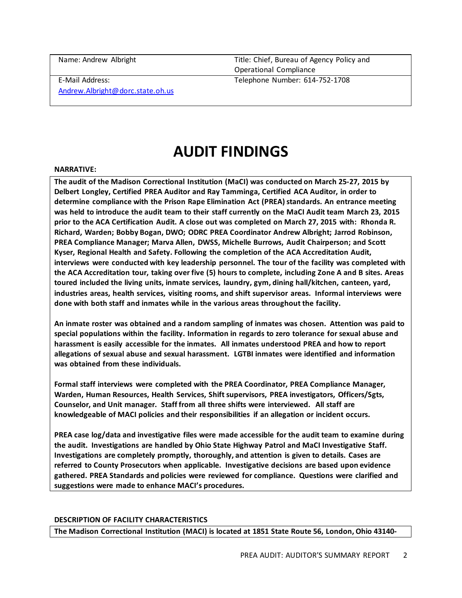Name: Andrew Albright Title: Chief, Bureau of Agency Policy and Operational Compliance Telephone Number: 614-752-1708

E-Mail Address:

[Andrew.Albright@dorc.state.oh.us](mailto:Andrew.Albright@dorc.state.oh.us)

## **AUDIT FINDINGS**

### **NARRATIVE:**

**The audit of the Madison Correctional Institution (MaCI) was conducted on March 25-27, 2015 by Delbert Longley, Certified PREA Auditor and Ray Tamminga, Certified ACA Auditor, in order to determine compliance with the Prison Rape Elimination Act (PREA) standards. An entrance meeting was held to introduce the audit team to their staff currently on the MaCI Audit team March 23, 2015 prior to the ACA Certification Audit. A close out was completed on March 27, 2015 with: Rhonda R. Richard, Warden; Bobby Bogan, DWO; ODRC PREA Coordinator Andrew Albright; Jarrod Robinson, PREA Compliance Manager; Marva Allen, DWSS, Michelle Burrows, Audit Chairperson; and Scott Kyser, Regional Health and Safety. Following the completion of the ACA Accreditation Audit, interviews were conducted with key leadership personnel. The tour of the facility was completed with the ACA Accreditation tour, taking over five (5) hours to complete, including Zone A and B sites. Areas toured included the living units, inmate services, laundry, gym, dining hall/kitchen, canteen, yard, industries areas, health services, visiting rooms, and shift supervisor areas. Informal interviews were done with both staff and inmates while in the various areas throughout the facility.** 

**An inmate roster was obtained and a random sampling of inmates was chosen. Attention was paid to special populations within the facility. Information in regards to zero tolerance for sexual abuse and harassment is easily accessible for the inmates. All inmates understood PREA and how to report allegations of sexual abuse and sexual harassment. LGTBI inmates were identified and information was obtained from these individuals.** 

**Formal staff interviews were completed with the PREA Coordinator, PREA Compliance Manager, Warden, Human Resources, Health Services, Shift supervisors, PREA investigators, Officers/Sgts, Counselor, and Unit manager. Staff from all three shifts were interviewed. All staff are knowledgeable of MACI policies and their responsibilities if an allegation or incident occurs.** 

**PREA case log/data and investigative files were made accessible for the audit team to examine during the audit. Investigations are handled by Ohio State Highway Patrol and MaCI Investigative Staff. Investigations are completely promptly, thoroughly, and attention is given to details. Cases are referred to County Prosecutors when applicable. Investigative decisions are based upon evidence gathered. PREA Standards and policies were reviewed for compliance. Questions were clarified and suggestions were made to enhance MACI's procedures.** 

### **DESCRIPTION OF FACILITY CHARACTERISTICS**

**The Madison Correctional Institution (MACI) is located at 1851 State Route 56, London, Ohio 43140-**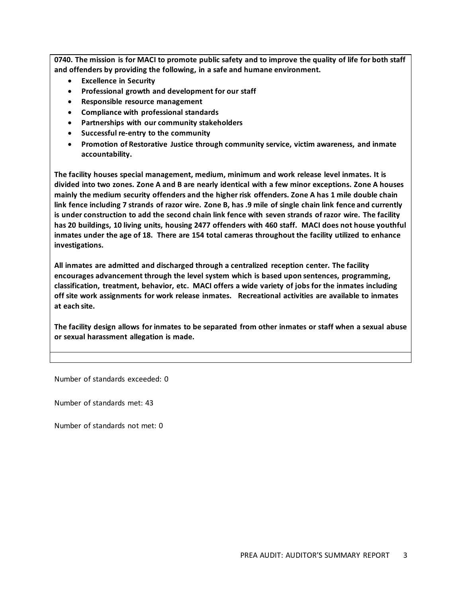**0740. The mission is for MACI to promote public safety and to improve the quality of life for both staff and offenders by providing the following, in a safe and humane environment.** 

- **Excellence in Security**
- **Professional growth and development for our staff**
- **Responsible resource management**
- **Compliance with professional standards**
- **Partnerships with our community stakeholders**
- **Successful re-entry to the community**
- **Promotion of Restorative Justice through community service, victim awareness, and inmate accountability.**

**The facility houses special management, medium, minimum and work release level inmates. It is divided into two zones. Zone A and B are nearly identical with a few minor exceptions. Zone A houses mainly the medium security offenders and the higher risk offenders. Zone A has 1 mile double chain link fence including 7 strands of razor wire. Zone B, has .9 mile of single chain link fence and currently is under construction to add the second chain link fence with seven strands of razor wire. The facility has 20 buildings, 10 living units, housing 2477 offenders with 460 staff. MACI does not house youthful inmates under the age of 18. There are 154 total cameras throughout the facility utilized to enhance investigations.** 

**All inmates are admitted and discharged through a centralized reception center. The facility encourages advancement through the level system which is based upon sentences, programming, classification, treatment, behavior, etc. MACI offers a wide variety of jobs for the inmates including off site work assignments for work release inmates. Recreational activities are available to inmates at each site.** 

**The facility design allows for inmates to be separated from other inmates or staff when a sexual abuse or sexual harassment allegation is made.** 

Number of standards exceeded: 0

Number of standards met: 43

Number of standards not met: 0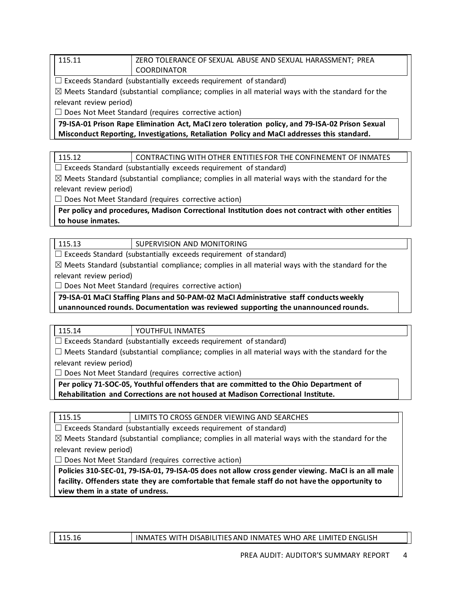### 115.11 ZERO TOLERANCE OF SEXUAL ABUSE AND SEXUAL HARASSMENT; PREA COORDINATOR

 $\Box$  Exceeds Standard (substantially exceeds requirement of standard)

 $\boxtimes$  Meets Standard (substantial compliance; complies in all material ways with the standard for the relevant review period)

 $\Box$  Does Not Meet Standard (requires corrective action)

**79-ISA-01 Prison Rape Elimination Act, MaCI zero toleration policy, and 79-ISA-02 Prison Sexual Misconduct Reporting, Investigations, Retaliation Policy and MaCI addresses this standard.**

| 115.12 | CONTRACTING WITH OTHER ENTITIES FOR THE CONFINEMENT OF INMATES |
|--------|----------------------------------------------------------------|
|        |                                                                |

 $\Box$  Exceeds Standard (substantially exceeds requirement of standard)

 $\boxtimes$  Meets Standard (substantial compliance; complies in all material ways with the standard for the relevant review period)

□ Does Not Meet Standard (requires corrective action)

**Per policy and procedures, Madison Correctional Institution does not contract with other entities to house inmates.**

| 115.13 | SUPERVISION AND MONITORING |
|--------|----------------------------|
|--------|----------------------------|

 $\Box$  Exceeds Standard (substantially exceeds requirement of standard)

 $\boxtimes$  Meets Standard (substantial compliance; complies in all material ways with the standard for the relevant review period)

 $\Box$  Does Not Meet Standard (requires corrective action)

**79-ISA-01 MaCI Staffing Plans and 50-PAM-02 MaCI Administrative staff conducts weekly unannounced rounds. Documentation was reviewed supporting the unannounced rounds.**

| 115.14 | <b>YOUTHFUL INMATES</b> |
|--------|-------------------------|
|        |                         |

 $\Box$  Exceeds Standard (substantially exceeds requirement of standard)

 $\Box$  Meets Standard (substantial compliance; complies in all material ways with the standard for the

relevant review period)

□ Does Not Meet Standard (requires corrective action)

**Per policy 71-SOC-05, Youthful offenders that are committed to the Ohio Department of Rehabilitation and Corrections are not housed at Madison Correctional Institute.**

115.15 | LIMITS TO CROSS GENDER VIEWING AND SEARCHES

 $\Box$  Exceeds Standard (substantially exceeds requirement of standard)

 $\boxtimes$  Meets Standard (substantial compliance; complies in all material ways with the standard for the relevant review period)

 $\Box$  Does Not Meet Standard (requires corrective action)

**Policies 310-SEC-01, 79-ISA-01, 79-ISA-05 does not allow cross gender viewing. MaCI is an all male facility. Offenders state they are comfortable that female staff do not have the opportunity to view them in a state of undress.**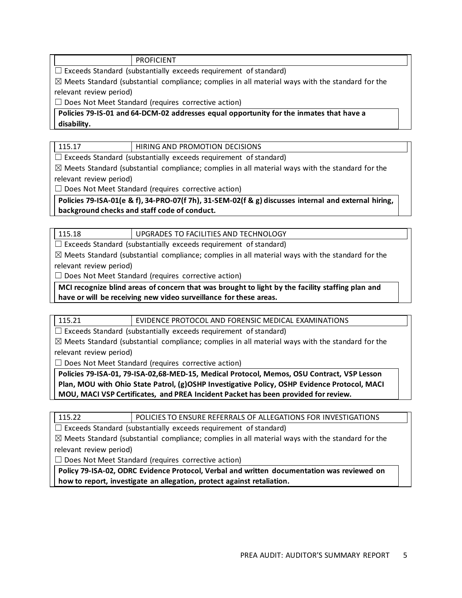### PROFICIENT

 $\Box$  Exceeds Standard (substantially exceeds requirement of standard)

 $\boxtimes$  Meets Standard (substantial compliance; complies in all material ways with the standard for the relevant review period)

 $\Box$  Does Not Meet Standard (requires corrective action)

**Policies 79-IS-01 and 64-DCM-02 addresses equal opportunity for the inmates that have a disability.**

115.17 **HIRING AND PROMOTION DECISIONS** 

 $\Box$  Exceeds Standard (substantially exceeds requirement of standard)

 $\boxtimes$  Meets Standard (substantial compliance; complies in all material ways with the standard for the relevant review period)

 $\Box$  Does Not Meet Standard (requires corrective action)

**Policies 79-ISA-01(e & f), 34-PRO-07(f 7h), 31-SEM-02(f & g) discusses internal and external hiring, background checks and staff code of conduct.** 

115.18 | UPGRADES TO FACILITIES AND TECHNOLOGY

 $\Box$  Exceeds Standard (substantially exceeds requirement of standard)

 $\boxtimes$  Meets Standard (substantial compliance; complies in all material ways with the standard for the relevant review period)

 $\Box$  Does Not Meet Standard (requires corrective action)

**MCI recognize blind areas of concern that was brought to light by the facility staffing plan and have or will be receiving new video surveillance for these areas.**

115.21 EVIDENCE PROTOCOL AND FORENSIC MEDICAL EXAMINATIONS

 $\Box$  Exceeds Standard (substantially exceeds requirement of standard)

 $\boxtimes$  Meets Standard (substantial compliance; complies in all material ways with the standard for the relevant review period)

 $\Box$  Does Not Meet Standard (requires corrective action)

**Policies 79-ISA-01, 79-ISA-02,68-MED-15, Medical Protocol, Memos, OSU Contract, VSP Lesson Plan, MOU with Ohio State Patrol, (g)OSHP Investigative Policy, OSHP Evidence Protocol, MACI MOU, MACI VSP Certificates, and PREA Incident Packet has been provided for review.**

115.22 POLICIES TO ENSURE REFERRALS OF ALLEGATIONS FOR INVESTIGATIONS

 $\Box$  Exceeds Standard (substantially exceeds requirement of standard)

 $\boxtimes$  Meets Standard (substantial compliance; complies in all material ways with the standard for the relevant review period)

 $\Box$  Does Not Meet Standard (requires corrective action)

**Policy 79-ISA-02, ODRC Evidence Protocol, Verbal and written documentation was reviewed on how to report, investigate an allegation, protect against retaliation.**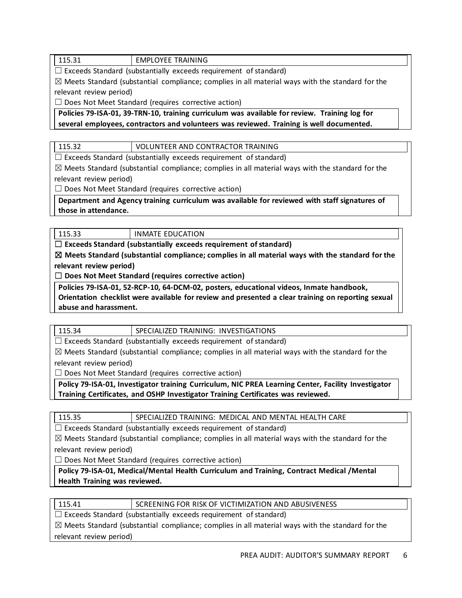### 115.31 EMPLOYEE TRAINING

 $\Box$  Exceeds Standard (substantially exceeds requirement of standard)

 $\boxtimes$  Meets Standard (substantial compliance; complies in all material ways with the standard for the relevant review period)

 $\Box$  Does Not Meet Standard (requires corrective action)

**Policies 79-ISA-01, 39-TRN-10, training curriculum was available for review. Training log for several employees, contractors and volunteers was reviewed. Training is well documented.**

115.32 VOLUNTEER AND CONTRACTOR TRAINING

 $\Box$  Exceeds Standard (substantially exceeds requirement of standard)

 $\boxtimes$  Meets Standard (substantial compliance; complies in all material ways with the standard for the relevant review period)

 $\Box$  Does Not Meet Standard (requires corrective action)

**Department and Agency training curriculum was available for reviewed with staff signatures of those in attendance.**

115.33 INMATE EDUCATION

☐ **Exceeds Standard (substantially exceeds requirement of standard)**

☒ **Meets Standard (substantial compliance; complies in all material ways with the standard for the relevant review period)**

☐ **Does Not Meet Standard (requires corrective action)**

**Policies 79-ISA-01, 52-RCP-10, 64-DCM-02, posters, educational videos, Inmate handbook,** 

**Orientation checklist were available for review and presented a clear training on reporting sexual abuse and harassment.**

 $\Box$  Exceeds Standard (substantially exceeds requirement of standard)

 $\boxtimes$  Meets Standard (substantial compliance; complies in all material ways with the standard for the relevant review period)

□ Does Not Meet Standard (requires corrective action)

**Policy 79-ISA-01, Investigator training Curriculum, NIC PREA Learning Center, Facility Investigator Training Certificates, and OSHP Investigator Training Certificates was reviewed.** 

| × |  |
|---|--|
|---|--|

SPECIALIZED TRAINING: MEDICAL AND MENTAL HEALTH CARE

 $\Box$  Exceeds Standard (substantially exceeds requirement of standard)

 $\boxtimes$  Meets Standard (substantial compliance; complies in all material ways with the standard for the relevant review period)

 $\Box$  Does Not Meet Standard (requires corrective action)

**Policy 79-ISA-01, Medical/Mental Health Curriculum and Training, Contract Medical /Mental Health Training was reviewed.** 

| 115.41 | SCREENING FOR RISK OF VICTIMIZATION AND ABUSIVENESS |
|--------|-----------------------------------------------------|
|        |                                                     |

 $\Box$  Exceeds Standard (substantially exceeds requirement of standard)

 $\boxtimes$  Meets Standard (substantial compliance; complies in all material ways with the standard for the relevant review period)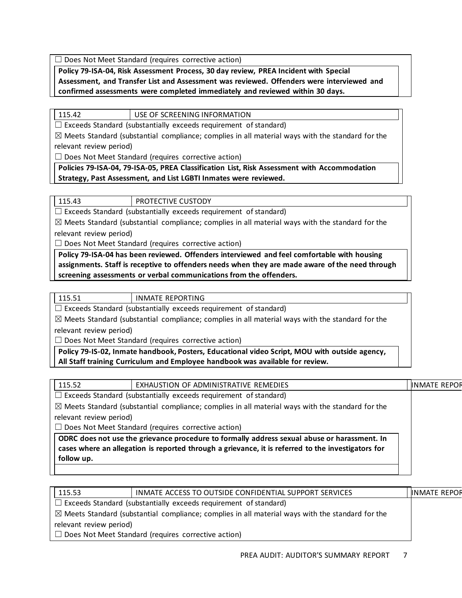$\Box$  Does Not Meet Standard (requires corrective action)

**Policy 79-ISA-04, Risk Assessment Process, 30 day review, PREA Incident with Special Assessment, and Transfer List and Assessment was reviewed. Offenders were interviewed and confirmed assessments were completed immediately and reviewed within 30 days.**

### 115.42 USE OF SCREENING INFORMATION

 $\Box$  Exceeds Standard (substantially exceeds requirement of standard)

 $\boxtimes$  Meets Standard (substantial compliance; complies in all material ways with the standard for the relevant review period)

 $\Box$  Does Not Meet Standard (requires corrective action)

### **Policies 79-ISA-04, 79-ISA-05, PREA Classification List, Risk Assessment with Accommodation Strategy, Past Assessment, and List LGBTI Inmates were reviewed.**

PROTECTIVE CUSTODY

 $\Box$  Exceeds Standard (substantially exceeds requirement of standard)

 $\boxtimes$  Meets Standard (substantial compliance; complies in all material ways with the standard for the relevant review period)

 $\Box$  Does Not Meet Standard (requires corrective action)

**Policy 79-ISA-04 has been reviewed. Offenders interviewed and feel comfortable with housing assignments. Staff is receptive to offenders needs when they are made aware of the need through screening assessments or verbal communications from the offenders.**

115.51 | INMATE REPORTING

 $\Box$  Exceeds Standard (substantially exceeds requirement of standard)

 $\boxtimes$  Meets Standard (substantial compliance; complies in all material ways with the standard for the relevant review period)

 $\Box$  Does Not Meet Standard (requires corrective action)

**Policy 79-IS-02, Inmate handbook, Posters, Educational video Script, MOU with outside agency, All Staff training Curriculum and Employee handbook was available for review.**

|  | 115.52                                                                                                                                                                                 | EXHAUSTION OF ADMINISTRATIVE REMEDIES                                                                                                                                                              |  | <b>INMATE REPOR</b> |
|--|----------------------------------------------------------------------------------------------------------------------------------------------------------------------------------------|----------------------------------------------------------------------------------------------------------------------------------------------------------------------------------------------------|--|---------------------|
|  | $\Box$ Exceeds Standard (substantially exceeds requirement of standard)<br>$\boxtimes$ Meets Standard (substantial compliance; complies in all material ways with the standard for the |                                                                                                                                                                                                    |  |                     |
|  |                                                                                                                                                                                        |                                                                                                                                                                                                    |  |                     |
|  | relevant review period)                                                                                                                                                                |                                                                                                                                                                                                    |  |                     |
|  | $\Box$ Does Not Meet Standard (requires corrective action)                                                                                                                             |                                                                                                                                                                                                    |  |                     |
|  | follow up.                                                                                                                                                                             | ODRC does not use the grievance procedure to formally address sexual abuse or harassment. In<br>cases where an allegation is reported through a grievance, it is referred to the investigators for |  |                     |
|  |                                                                                                                                                                                        |                                                                                                                                                                                                    |  |                     |

| 115.53                                                                                                      | INMATE ACCESS TO OUTSIDE CONFIDENTIAL SUPPORT SERVICES     | <b>INMATE REPOR</b> |
|-------------------------------------------------------------------------------------------------------------|------------------------------------------------------------|---------------------|
| $\Box$ Exceeds Standard (substantially exceeds requirement of standard)                                     |                                                            |                     |
| $\boxtimes$ Meets Standard (substantial compliance; complies in all material ways with the standard for the |                                                            |                     |
| relevant review period)                                                                                     |                                                            |                     |
|                                                                                                             | $\Box$ Does Not Meet Standard (requires corrective action) |                     |
|                                                                                                             |                                                            |                     |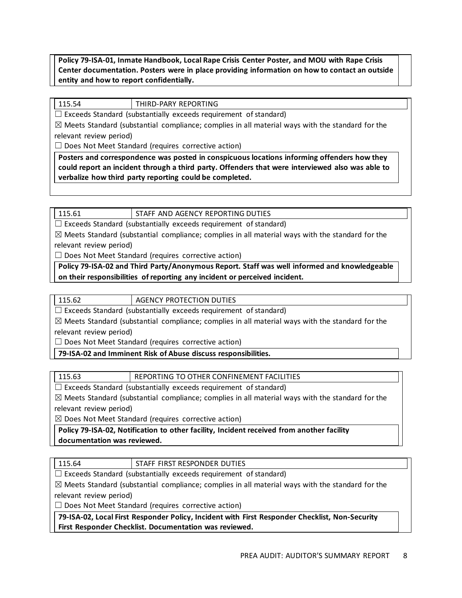**Policy 79-ISA-01, Inmate Handbook, Local Rape Crisis Center Poster, and MOU with Rape Crisis Center documentation. Posters were in place providing information on how to contact an outside entity and how to report confidentially.**

115.54 THIRD-PARY REPORTING

 $\Box$  Exceeds Standard (substantially exceeds requirement of standard)

 $\boxtimes$  Meets Standard (substantial compliance; complies in all material ways with the standard for the relevant review period)

 $\Box$  Does Not Meet Standard (requires corrective action)

**Posters and correspondence was posted in conspicuous locations informing offenders how they could report an incident through a third party. Offenders that were interviewed also was able to verbalize how third party reporting could be completed.**

### 115.61 STAFF AND AGENCY REPORTING DUTIES

 $\Box$  Exceeds Standard (substantially exceeds requirement of standard)

 $\boxtimes$  Meets Standard (substantial compliance; complies in all material ways with the standard for the relevant review period)

 $\Box$  Does Not Meet Standard (requires corrective action)

**Policy 79-ISA-02 and Third Party/Anonymous Report. Staff was well informed and knowledgeable on their responsibilities of reporting any incident or perceived incident.**

 $\Box$  Exceeds Standard (substantially exceeds requirement of standard)

 $\boxtimes$  Meets Standard (substantial compliance; complies in all material ways with the standard for the relevant review period)

 $\Box$  Does Not Meet Standard (requires corrective action)

**79-ISA-02 and Imminent Risk of Abuse discuss responsibilities.**

115.63 REPORTING TO OTHER CONFINEMENT FACILITIES

 $\Box$  Exceeds Standard (substantially exceeds requirement of standard)

 $\boxtimes$  Meets Standard (substantial compliance; complies in all material ways with the standard for the relevant review period)

 $\boxtimes$  Does Not Meet Standard (requires corrective action)

**Policy 79-ISA-02, Notification to other facility, Incident received from another facility documentation was reviewed.**

115.64 | STAFF FIRST RESPONDER DUTIES

 $\Box$  Exceeds Standard (substantially exceeds requirement of standard)

 $\boxtimes$  Meets Standard (substantial compliance; complies in all material ways with the standard for the relevant review period)

 $\Box$  Does Not Meet Standard (requires corrective action)

**79-ISA-02, Local First Responder Policy, Incident with First Responder Checklist, Non-Security First Responder Checklist. Documentation was reviewed.**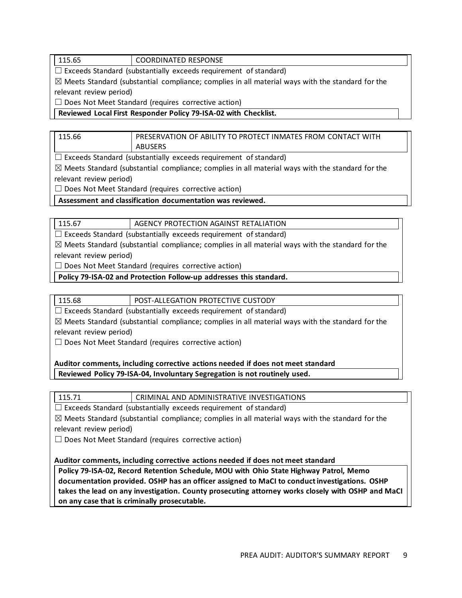### 115.65 COORDINATED RESPONSE

 $\Box$  Exceeds Standard (substantially exceeds requirement of standard)

 $\boxtimes$  Meets Standard (substantial compliance; complies in all material ways with the standard for the relevant review period)

 $\Box$  Does Not Meet Standard (requires corrective action)

**Reviewed Local First Responder Policy 79-ISA-02 with Checklist.**

| 115.66 | PRESERVATION OF ABILITY TO PROTECT INMATES FROM CONTACT WITH |
|--------|--------------------------------------------------------------|
|        | ABUSERS                                                      |

 $\Box$  Exceeds Standard (substantially exceeds requirement of standard)

 $\boxtimes$  Meets Standard (substantial compliance; complies in all material ways with the standard for the relevant review period)

 $\Box$  Does Not Meet Standard (requires corrective action)

**Assessment and classification documentation was reviewed.**

115.67 AGENCY PROTECTION AGAINST RETALIATION

 $\Box$  Exceeds Standard (substantially exceeds requirement of standard)

 $\boxtimes$  Meets Standard (substantial compliance; complies in all material ways with the standard for the relevant review period)

□ Does Not Meet Standard (requires corrective action)

**Policy 79-ISA-02 and Protection Follow-up addresses this standard.**

115.68 POST-ALLEGATION PROTECTIVE CUSTODY

 $\Box$  Exceeds Standard (substantially exceeds requirement of standard)

 $\boxtimes$  Meets Standard (substantial compliance; complies in all material ways with the standard for the relevant review period)

 $\Box$  Does Not Meet Standard (requires corrective action)

**Auditor comments, including corrective actions needed if does not meet standard Reviewed Policy 79-ISA-04, Involuntary Segregation is not routinely used.**

115.71 CRIMINAL AND ADMINISTRATIVE INVESTIGATIONS

 $\Box$  Exceeds Standard (substantially exceeds requirement of standard)

 $\boxtimes$  Meets Standard (substantial compliance; complies in all material ways with the standard for the relevant review period)

 $\Box$  Does Not Meet Standard (requires corrective action)

**Auditor comments, including corrective actions needed if does not meet standard**

**Policy 79-ISA-02, Record Retention Schedule, MOU with Ohio State Highway Patrol, Memo documentation provided. OSHP has an officer assigned to MaCI to conduct investigations. OSHP takes the lead on any investigation. County prosecuting attorney works closely with OSHP and MaCI on any case that is criminally prosecutable.**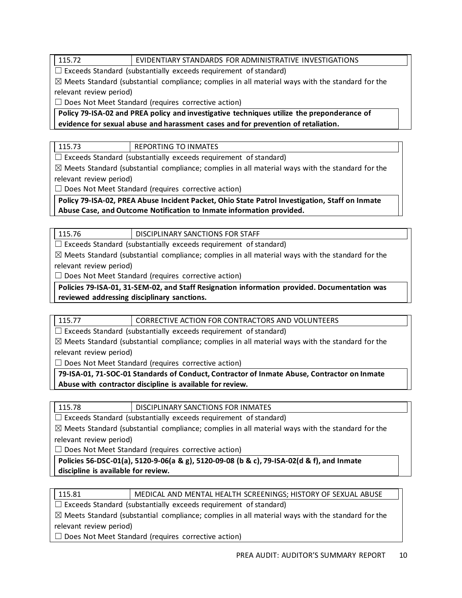### 115.72 EVIDENTIARY STANDARDS FOR ADMINISTRATIVE INVESTIGATIONS

 $\Box$  Exceeds Standard (substantially exceeds requirement of standard)

 $\boxtimes$  Meets Standard (substantial compliance; complies in all material ways with the standard for the relevant review period)

 $\Box$  Does Not Meet Standard (requires corrective action)

**Policy 79-ISA-02 and PREA policy and investigative techniques utilize the preponderance of evidence for sexual abuse and harassment cases and for prevention of retaliation.**

115.73 REPORTING TO INMATES

 $\Box$  Exceeds Standard (substantially exceeds requirement of standard)

 $\boxtimes$  Meets Standard (substantial compliance; complies in all material ways with the standard for the relevant review period)

 $\Box$  Does Not Meet Standard (requires corrective action)

**Policy 79-ISA-02, PREA Abuse Incident Packet, Ohio State Patrol Investigation, Staff on Inmate Abuse Case, and Outcome Notification to Inmate information provided.** 

115.76 **DISCIPLINARY SANCTIONS FOR STAFF** 

 $\Box$  Exceeds Standard (substantially exceeds requirement of standard)

 $\boxtimes$  Meets Standard (substantial compliance; complies in all material ways with the standard for the relevant review period)

 $\Box$  Does Not Meet Standard (requires corrective action)

**Policies 79-ISA-01, 31-SEM-02, and Staff Resignation information provided. Documentation was reviewed addressing disciplinary sanctions.**

115.77 CORRECTIVE ACTION FOR CONTRACTORS AND VOLUNTEERS

 $\Box$  Exceeds Standard (substantially exceeds requirement of standard)

 $\boxtimes$  Meets Standard (substantial compliance; complies in all material ways with the standard for the relevant review period)

 $\Box$  Does Not Meet Standard (requires corrective action)

**79-ISA-01, 71-SOC-01 Standards of Conduct, Contractor of Inmate Abuse, Contractor on Inmate Abuse with contractor discipline is available for review.** 

115.78 DISCIPLINARY SANCTIONS FOR INMATES

 $\Box$  Exceeds Standard (substantially exceeds requirement of standard)

 $\boxtimes$  Meets Standard (substantial compliance; complies in all material ways with the standard for the relevant review period)

 $\Box$  Does Not Meet Standard (requires corrective action)

**Policies 56-DSC-01(a), 5120-9-06(a & g), 5120-09-08 (b & c), 79-ISA-02(d & f), and Inmate discipline is available for review.**

| 115.81 | MEDICAL AND MENTAL HEALTH SCREENINGS; HISTORY OF SEXUAL ABUSE |
|--------|---------------------------------------------------------------|
|        |                                                               |

☐ Exceeds Standard (substantially exceeds requirement of standard)

 $\boxtimes$  Meets Standard (substantial compliance; complies in all material ways with the standard for the relevant review period)

 $\Box$  Does Not Meet Standard (requires corrective action)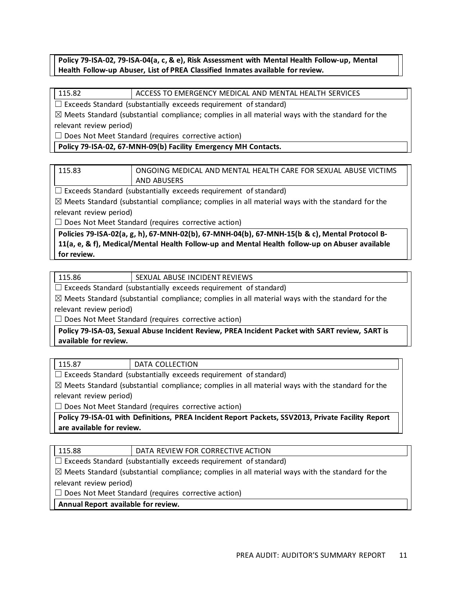### **Policy 79-ISA-02, 79-ISA-04(a, c, & e), Risk Assessment with Mental Health Follow-up, Mental Health Follow-up Abuser, List of PREA Classified Inmates available for review.**

### 115.82 ACCESS TO EMERGENCY MEDICAL AND MENTAL HEALTH SERVICES

 $\Box$  Exceeds Standard (substantially exceeds requirement of standard)

 $\boxtimes$  Meets Standard (substantial compliance; complies in all material ways with the standard for the relevant review period)

 $\Box$  Does Not Meet Standard (requires corrective action)

**Policy 79-ISA-02, 67-MNH-09(b) Facility Emergency MH Contacts.** 

| 115.83 | ONGOING MEDICAL AND MENTAL HEALTH CARE FOR SEXUAL ABUSE VICTIMS |
|--------|-----------------------------------------------------------------|
|        | AND ABUSERS                                                     |

 $\Box$  Exceeds Standard (substantially exceeds requirement of standard)

 $\boxtimes$  Meets Standard (substantial compliance; complies in all material ways with the standard for the relevant review period)

 $\Box$  Does Not Meet Standard (requires corrective action)

**Policies 79-ISA-02(a, g, h), 67-MNH-02(b), 67-MNH-04(b), 67-MNH-15(b & c), Mental Protocol B-11(a, e, & f), Medical/Mental Health Follow-up and Mental Health follow-up on Abuser available for review.**

|                         | SEXUAL ABUSE INCIDENT REVIEWS |
|-------------------------|-------------------------------|
| IF ICI III III II II II |                               |

 $\Box$  Exceeds Standard (substantially exceeds requirement of standard)

 $\boxtimes$  Meets Standard (substantial compliance; complies in all material ways with the standard for the relevant review period)

 $\Box$  Does Not Meet Standard (requires corrective action)

**Policy 79-ISA-03, Sexual Abuse Incident Review, PREA Incident Packet with SART review, SART is available for review.**

115.87 | DATA COLLECTION

 $\Box$  Exceeds Standard (substantially exceeds requirement of standard)

 $\boxtimes$  Meets Standard (substantial compliance; complies in all material ways with the standard for the relevant review period)

 $\Box$  Does Not Meet Standard (requires corrective action)

**Policy 79-ISA-01 with Definitions, PREA Incident Report Packets, SSV2013, Private Facility Report are available for review.**

| 115.88 | DATA RE |
|--------|---------|
|        |         |

**VIEW FOR CORRECTIVE ACTION** 

 $\Box$  Exceeds Standard (substantially exceeds requirement of standard)

 $\boxtimes$  Meets Standard (substantial compliance; complies in all material ways with the standard for the

relevant review period)

 $\Box$  Does Not Meet Standard (requires corrective action)

**Annual Report available for review.**